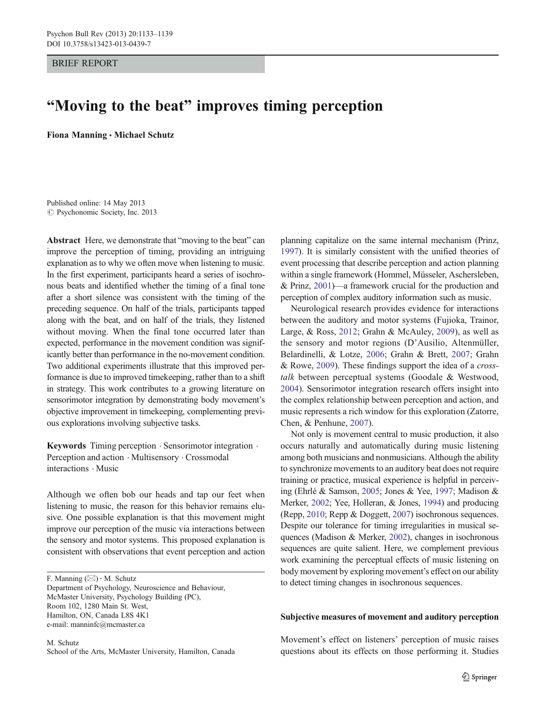BRIEF REPORT

# "Moving to the beat" improves timing perception

Fiona Manning . Michael Schutz

Published online: 14 May 2013 © Psychonomic Society, Inc. 2013

Abstract Here, we demonstrate that "moving to the beat" can improve the perception of timing, providing an intriguing explanation as to why we often move when listening to music. In the first experiment, participants heard a series of isochronous beats and identified whether the timing of a final tone after a short silence was consistent with the timing of the preceding sequence. On half of the trials, participants tapped along with the beat, and on half of the trials, they listened without moving. When the final tone occurred later than expected, performance in the movement condition was significantly better than performance in the no-movement condition. Two additional experiments illustrate that this improved performance is due to improved timekeeping, rather than to a shift in strategy. This work contributes to a growing literature on sensorimotor integration by demonstrating body movement's objective improvement in timekeeping, complementing previous explorations involving subjective tasks.

Keywords Timing perception . Sensorimotor integration . Perception and action . Multisensory . Crossmodal interactions . Music

Although we often bob our heads and tap our feet when listening to music, the reason for this behavior remains elusive. One possible explanation is that this movement might improve our perception of the music via interactions between the sensory and motor systems. This proposed explanation is consistent with observations that event perception and action

F. Manning  $(\boxtimes) \cdot M$ . Schutz

Department of Psychology, Neuroscience and Behaviour, McMaster University, Psychology Building (PC), Room 102, 1280 Main St. West, Hamilton, ON, Canada L8S 4K1 e-mail: manninfc@mcmaster.ca

M. Schutz School of the Arts, McMaster University, Hamilton, Canada planning capitalize on the same internal mechanism (Prinz, [1997\)](#page-6-0). It is similarly consistent with the unified theories of event processing that describe perception and action planning within a single framework (Hommel, Müsseler, Aschersleben, & Prinz, [2001\)](#page-6-0)—a framework crucial for the production and perception of complex auditory information such as music.

Neurological research provides evidence for interactions between the auditory and motor systems (Fujioka, Trainor, Large, & Ross, [2012;](#page-6-0) Grahn & McAuley, [2009](#page-6-0)), as well as the sensory and motor regions (D'Ausilio, Altenmüller, Belardinelli, & Lotze, [2006;](#page-5-0) Grahn & Brett, [2007;](#page-6-0) Grahn & Rowe, [2009](#page-6-0)). These findings support the idea of a crosstalk between perceptual systems (Goodale & Westwood, [2004](#page-6-0)). Sensorimotor integration research offers insight into the complex relationship between perception and action, and music represents a rich window for this exploration (Zatorre, Chen, & Penhune, [2007](#page-6-0)).

Not only is movement central to music production, it also occurs naturally and automatically during music listening among both musicians and nonmusicians. Although the ability to synchronize movements to an auditory beat does not require training or practice, musical experience is helpful in perceiving (Ehrlé & Samson, [2005](#page-6-0); Jones & Yee, [1997](#page-6-0); Madison & Merker, [2002](#page-6-0); Yee, Holleran, & Jones, [1994](#page-6-0)) and producing (Repp, [2010](#page-6-0); Repp & Doggett, [2007\)](#page-6-0) isochronous sequences. Despite our tolerance for timing irregularities in musical sequences (Madison & Merker, [2002](#page-6-0)), changes in isochronous sequences are quite salient. Here, we complement previous work examining the perceptual effects of music listening on body movement by exploring movement's effect on our ability to detect timing changes in isochronous sequences.

## Subjective measures of movement and auditory perception

Movement's effect on listeners' perception of music raises questions about its effects on those performing it. Studies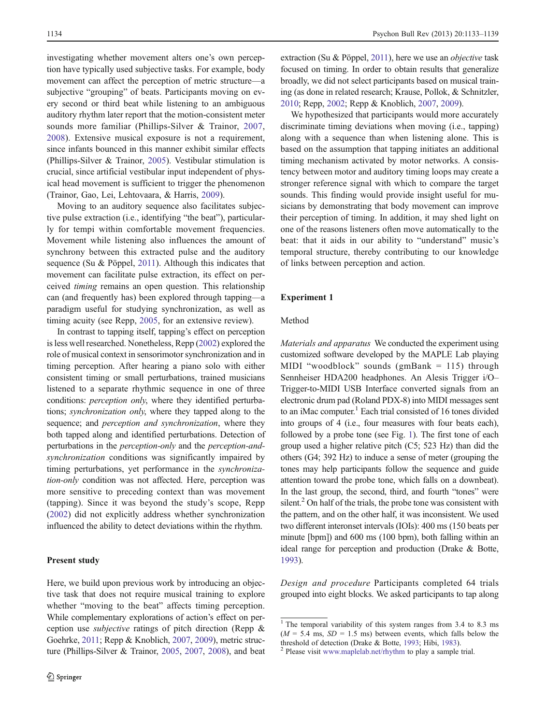<span id="page-1-0"></span>investigating whether movement alters one's own perception have typically used subjective tasks. For example, body movement can affect the perception of metric structure—a subjective "grouping" of beats. Participants moving on every second or third beat while listening to an ambiguous auditory rhythm later report that the motion-consistent meter sounds more familiar (Phillips-Silver & Trainor, [2007,](#page-6-0) [2008](#page-6-0)). Extensive musical exposure is not a requirement, since infants bounced in this manner exhibit similar effects (Phillips-Silver & Trainor, [2005](#page-6-0)). Vestibular stimulation is crucial, since artificial vestibular input independent of physical head movement is sufficient to trigger the phenomenon (Trainor, Gao, Lei, Lehtovaara, & Harris, [2009\)](#page-6-0).

Moving to an auditory sequence also facilitates subjective pulse extraction (i.e., identifying "the beat"), particularly for tempi within comfortable movement frequencies. Movement while listening also influences the amount of synchrony between this extracted pulse and the auditory sequence (Su & Pöppel, [2011](#page-6-0)). Although this indicates that movement can facilitate pulse extraction, its effect on perceived timing remains an open question. This relationship can (and frequently has) been explored through tapping—a paradigm useful for studying synchronization, as well as timing acuity (see Repp, [2005](#page-6-0), for an extensive review).

In contrast to tapping itself, tapping's effect on perception is less well researched. Nonetheless, Repp ([2002](#page-6-0)) explored the role of musical context in sensorimotor synchronization and in timing perception. After hearing a piano solo with either consistent timing or small perturbations, trained musicians listened to a separate rhythmic sequence in one of three conditions: perception only, where they identified perturbations; synchronization only, where they tapped along to the sequence; and *perception and synchronization*, where they both tapped along and identified perturbations. Detection of perturbations in the perception-only and the perception-andsynchronization conditions was significantly impaired by timing perturbations, yet performance in the synchronization-only condition was not affected. Here, perception was more sensitive to preceding context than was movement (tapping). Since it was beyond the study's scope, Repp [\(2002](#page-6-0)) did not explicitly address whether synchronization influenced the ability to detect deviations within the rhythm.

### Present study

extraction (Su & Pöppel, [2011\)](#page-6-0), here we use an *objective* task focused on timing. In order to obtain results that generalize broadly, we did not select participants based on musical training (as done in related research; Krause, Pollok, & Schnitzler, [2010;](#page-6-0) Repp, [2002](#page-6-0); Repp & Knoblich, [2007,](#page-6-0) [2009\)](#page-6-0).

We hypothesized that participants would more accurately discriminate timing deviations when moving (i.e., tapping) along with a sequence than when listening alone. This is based on the assumption that tapping initiates an additional timing mechanism activated by motor networks. A consistency between motor and auditory timing loops may create a stronger reference signal with which to compare the target sounds. This finding would provide insight useful for musicians by demonstrating that body movement can improve their perception of timing. In addition, it may shed light on one of the reasons listeners often move automatically to the beat: that it aids in our ability to "understand" music's temporal structure, thereby contributing to our knowledge of links between perception and action.

## Experiment 1

# Method

Materials and apparatus We conducted the experiment using customized software developed by the MAPLE Lab playing MIDI "woodblock" sounds (gmBank  $= 115$ ) through Sennheiser HDA200 headphones. An Alesis Trigger i/O– Trigger-to-MIDI USB Interface converted signals from an electronic drum pad (Roland PDX-8) into MIDI messages sent to an iMac computer.<sup>1</sup> Each trial consisted of 16 tones divided into groups of 4 (i.e., four measures with four beats each), followed by a probe tone (see Fig. [1](#page-2-0)). The first tone of each group used a higher relative pitch (C5; 523 Hz) than did the others (G4; 392 Hz) to induce a sense of meter (grouping the tones may help participants follow the sequence and guide attention toward the probe tone, which falls on a downbeat). In the last group, the second, third, and fourth "tones" were silent. $^{2}$  On half of the trials, the probe tone was consistent with the pattern, and on the other half, it was inconsistent. We used two different interonset intervals (IOIs): 400 ms (150 beats per minute [bpm]) and 600 ms (100 bpm), both falling within an ideal range for perception and production (Drake & Botte, [1993\)](#page-5-0).

Design and procedure Participants completed 64 trials grouped into eight blocks. We asked participants to tap along

<sup>&</sup>lt;sup>1</sup> The temporal variability of this system ranges from 3.4 to 8.3 ms  $(M = 5.4 \text{ ms}, SD = 1.5 \text{ ms})$  between events, which falls below the threshold of detection (Drake & Botte, [1993](#page-5-0); Hibi, [1983\)](#page-6-0).<br><sup>2</sup> Please visit [www.maplelab.net/rhythm](http://www.maplelab.net/rhythm) to play a sample trial.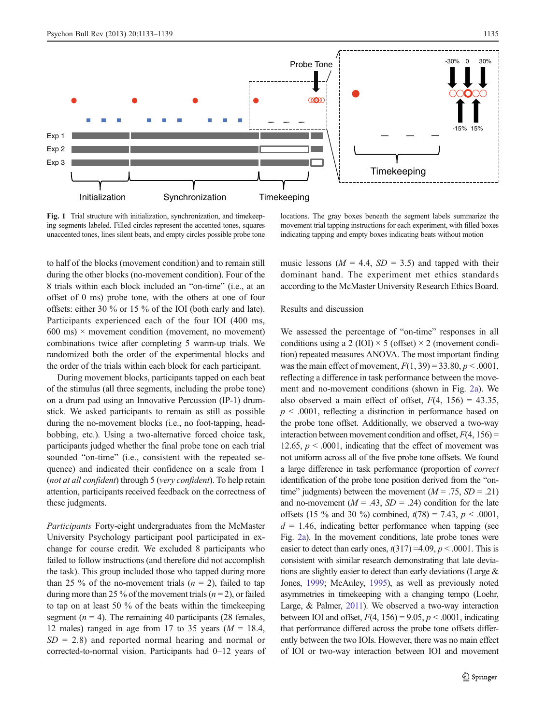<span id="page-2-0"></span>

Fig. 1 Trial structure with initialization, synchronization, and timekeeping segments labeled. Filled circles represent the accented tones, squares unaccented tones, lines silent beats, and empty circles possible probe tone

locations. The gray boxes beneath the segment labels summarize the movement trial tapping instructions for each experiment, with filled boxes indicating tapping and empty boxes indicating beats without motion

to half of the blocks (movement condition) and to remain still during the other blocks (no-movement condition). Four of the 8 trials within each block included an "on-time" (i.e., at an offset of 0 ms) probe tone, with the others at one of four offsets: either 30 % or 15 % of the IOI (both early and late). Participants experienced each of the four IOI (400 ms, 600 ms)  $\times$  movement condition (movement, no movement) combinations twice after completing 5 warm-up trials. We randomized both the order of the experimental blocks and the order of the trials within each block for each participant.

During movement blocks, participants tapped on each beat of the stimulus (all three segments, including the probe tone) on a drum pad using an Innovative Percussion (IP-1) drumstick. We asked participants to remain as still as possible during the no-movement blocks (i.e., no foot-tapping, headbobbing, etc.). Using a two-alternative forced choice task, participants judged whether the final probe tone on each trial sounded "on-time" (i.e., consistent with the repeated sequence) and indicated their confidence on a scale from 1 (not at all confident) through 5 (very confident). To help retain attention, participants received feedback on the correctness of these judgments.

Participants Forty-eight undergraduates from the McMaster University Psychology participant pool participated in exchange for course credit. We excluded 8 participants who failed to follow instructions (and therefore did not accomplish the task). This group included those who tapped during more than 25 % of the no-movement trials  $(n = 2)$ , failed to tap during more than 25 % of the movement trials ( $n = 2$ ), or failed to tap on at least 50 % of the beats within the timekeeping segment ( $n = 4$ ). The remaining 40 participants (28 females, 12 males) ranged in age from 17 to 35 years ( $M = 18.4$ ,  $SD = 2.8$ ) and reported normal hearing and normal or corrected-to-normal vision. Participants had 0–12 years of music lessons ( $M = 4.4$ ,  $SD = 3.5$ ) and tapped with their dominant hand. The experiment met ethics standards according to the McMaster University Research Ethics Board.

# Results and discussion

We assessed the percentage of "on-time" responses in all conditions using a 2 (IOI)  $\times$  5 (offset)  $\times$  2 (movement condition) repeated measures ANOVA. The most important finding was the main effect of movement,  $F(1, 39) = 33.80, p < .0001$ , reflecting a difference in task performance between the movement and no-movement conditions (shown in Fig. [2a\)](#page-3-0). We also observed a main effect of offset,  $F(4, 156) = 43.35$ ,  $p \leq 0.0001$ , reflecting a distinction in performance based on the probe tone offset. Additionally, we observed a two-way interaction between movement condition and offset,  $F(4, 156)$  = 12.65,  $p < .0001$ , indicating that the effect of movement was not uniform across all of the five probe tone offsets. We found a large difference in task performance (proportion of correct identification of the probe tone position derived from the "ontime" judgments) between the movement ( $M = .75$ ,  $SD = .21$ ) and no-movement ( $M = .43$ ,  $SD = .24$ ) condition for the late offsets (15 % and 30 %) combined,  $t(78) = 7.43$ ,  $p < .0001$ ,  $d = 1.46$ , indicating better performance when tapping (see Fig. [2a\)](#page-3-0). In the movement conditions, late probe tones were easier to detect than early ones,  $t(317) = 4.09$ ,  $p < .0001$ . This is consistent with similar research demonstrating that late deviations are slightly easier to detect than early deviations (Large & Jones, [1999;](#page-6-0) McAuley, [1995\)](#page-6-0), as well as previously noted asymmetries in timekeeping with a changing tempo (Loehr, Large, & Palmer, [2011](#page-6-0)). We observed a two-way interaction between IOI and offset,  $F(4, 156) = 9.05$ ,  $p < .0001$ , indicating that performance differed across the probe tone offsets differently between the two IOIs. However, there was no main effect of IOI or two-way interaction between IOI and movement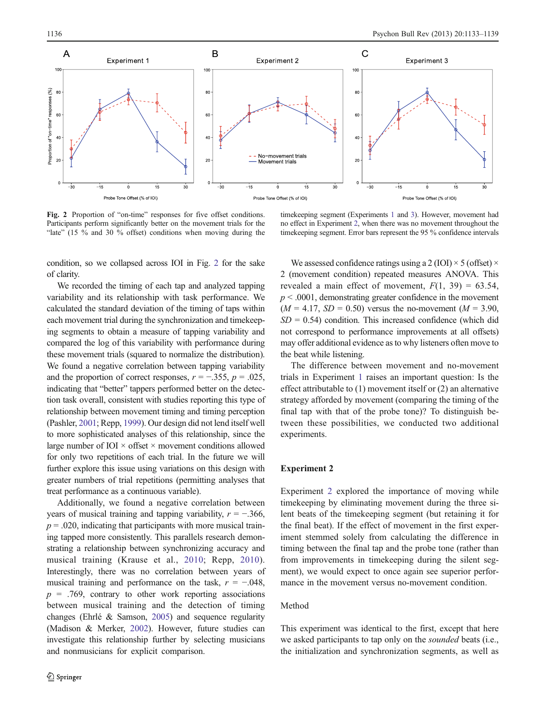<span id="page-3-0"></span>

Fig. 2 Proportion of "on-time" responses for five offset conditions. Participants perform significantly better on the movement trials for the "late" (15  $\%$  and 30  $\%$  offset) conditions when moving during the

condition, so we collapsed across IOI in Fig. 2 for the sake of clarity.

We recorded the timing of each tap and analyzed tapping variability and its relationship with task performance. We calculated the standard deviation of the timing of taps within each movement trial during the synchronization and timekeeping segments to obtain a measure of tapping variability and compared the log of this variability with performance during these movement trials (squared to normalize the distribution). We found a negative correlation between tapping variability and the proportion of correct responses,  $r = -0.355$ ,  $p = 0.025$ , indicating that "better" tappers performed better on the detection task overall, consistent with studies reporting this type of relationship between movement timing and timing perception (Pashler, [2001](#page-6-0); Repp, [1999\)](#page-6-0). Our design did not lend itself well to more sophisticated analyses of this relationship, since the large number of IOI  $\times$  offset  $\times$  movement conditions allowed for only two repetitions of each trial. In the future we will further explore this issue using variations on this design with greater numbers of trial repetitions (permitting analyses that treat performance as a continuous variable).

Additionally, we found a negative correlation between years of musical training and tapping variability,  $r = -0.366$ ,  $p = .020$ , indicating that participants with more musical training tapped more consistently. This parallels research demonstrating a relationship between synchronizing accuracy and musical training (Krause et al., [2010;](#page-6-0) Repp, [2010](#page-6-0)). Interestingly, there was no correlation between years of musical training and performance on the task,  $r = -.048$ ,  $p = .769$ , contrary to other work reporting associations between musical training and the detection of timing changes (Ehrlé & Samson, [2005](#page-6-0)) and sequence regularity (Madison & Merker, [2002\)](#page-6-0). However, future studies can investigate this relationship further by selecting musicians and nonmusicians for explicit comparison.

timekeeping segment (Experiments [1](#page-1-0) and [3](#page-4-0)). However, movement had no effect in Experiment 2, when there was no movement throughout the timekeeping segment. Error bars represent the 95 % confidence intervals

We assessed confidence ratings using a 2 (IOI)  $\times$  5 (offset)  $\times$ 2 (movement condition) repeated measures ANOVA. This revealed a main effect of movement,  $F(1, 39) = 63.54$ ,  $p \leq 0.0001$ , demonstrating greater confidence in the movement  $(M = 4.17, SD = 0.50)$  versus the no-movement  $(M = 3.90,$  $SD = 0.54$ ) condition. This increased confidence (which did not correspond to performance improvements at all offsets) may offer additional evidence as to why listeners often move to the beat while listening.

The difference between movement and no-movement trials in Experiment [1](#page-1-0) raises an important question: Is the effect attributable to (1) movement itself or (2) an alternative strategy afforded by movement (comparing the timing of the final tap with that of the probe tone)? To distinguish between these possibilities, we conducted two additional experiments.

# Experiment 2

Experiment 2 explored the importance of moving while timekeeping by eliminating movement during the three silent beats of the timekeeping segment (but retaining it for the final beat). If the effect of movement in the first experiment stemmed solely from calculating the difference in timing between the final tap and the probe tone (rather than from improvements in timekeeping during the silent segment), we would expect to once again see superior performance in the movement versus no-movement condition.

## Method

This experiment was identical to the first, except that here we asked participants to tap only on the sounded beats (i.e., the initialization and synchronization segments, as well as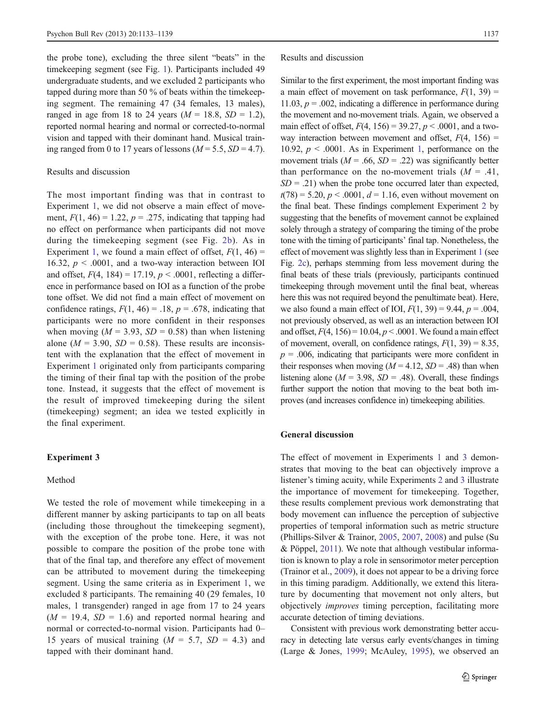<span id="page-4-0"></span>the probe tone), excluding the three silent "beats" in the timekeeping segment (see Fig. [1\)](#page-2-0). Participants included 49 undergraduate students, and we excluded 2 participants who tapped during more than 50 % of beats within the timekeeping segment. The remaining 47 (34 females, 13 males), ranged in age from 18 to 24 years ( $M = 18.8$ ,  $SD = 1.2$ ), reported normal hearing and normal or corrected-to-normal vision and tapped with their dominant hand. Musical training ranged from 0 to 17 years of lessons  $(M = 5.5, SD = 4.7)$ .

# Results and discussion

The most important finding was that in contrast to Experiment [1,](#page-1-0) we did not observe a main effect of movement,  $F(1, 46) = 1.22$ ,  $p = .275$ , indicating that tapping had no effect on performance when participants did not move during the timekeeping segment (see Fig. [2b](#page-3-0)). As in Experiment [1](#page-1-0), we found a main effect of offset,  $F(1, 46) =$ 16.32,  $p < .0001$ , and a two-way interaction between IOI and offset,  $F(4, 184) = 17.19$ ,  $p < .0001$ , reflecting a difference in performance based on IOI as a function of the probe tone offset. We did not find a main effect of movement on confidence ratings,  $F(1, 46) = .18$ ,  $p = .678$ , indicating that participants were no more confident in their responses when moving ( $M = 3.93$ ,  $SD = 0.58$ ) than when listening alone ( $M = 3.90$ ,  $SD = 0.58$ ). These results are inconsistent with the explanation that the effect of movement in Experiment [1](#page-1-0) originated only from participants comparing the timing of their final tap with the position of the probe tone. Instead, it suggests that the effect of movement is the result of improved timekeeping during the silent (timekeeping) segment; an idea we tested explicitly in the final experiment.

#### Experiment 3

## Method

We tested the role of movement while timekeeping in a different manner by asking participants to tap on all beats (including those throughout the timekeeping segment), with the exception of the probe tone. Here, it was not possible to compare the position of the probe tone with that of the final tap, and therefore any effect of movement can be attributed to movement during the timekeeping segment. Using the same criteria as in Experiment [1](#page-1-0), we excluded 8 participants. The remaining 40 (29 females, 10 males, 1 transgender) ranged in age from 17 to 24 years  $(M = 19.4, SD = 1.6)$  and reported normal hearing and normal or corrected-to-normal vision. Participants had 0– 15 years of musical training  $(M = 5.7, SD = 4.3)$  and tapped with their dominant hand.

#### Results and discussion

Similar to the first experiment, the most important finding was a main effect of movement on task performance,  $F(1, 39) =$ 11.03,  $p = .002$ , indicating a difference in performance during the movement and no-movement trials. Again, we observed a main effect of offset,  $F(4, 156) = 39.27, p < .0001$ , and a twoway interaction between movement and offset,  $F(4, 156) =$ [1](#page-1-0)0.92,  $p < .0001$ . As in Experiment 1, performance on the movement trials ( $M = .66$ ,  $SD = .22$ ) was significantly better than performance on the no-movement trials  $(M = .41, )$  $SD = .21$ ) when the probe tone occurred later than expected,  $t(78) = 5.20, p < .0001, d = 1.16$ , even without movement on the final beat. These findings complement Experiment [2](#page-3-0) by suggesting that the benefits of movement cannot be explained solely through a strategy of comparing the timing of the probe tone with the timing of participants' final tap. Nonetheless, the effect of movement was slightly less than in Experiment [1](#page-1-0) (see Fig. [2c](#page-3-0)), perhaps stemming from less movement during the final beats of these trials (previously, participants continued timekeeping through movement until the final beat, whereas here this was not required beyond the penultimate beat). Here, we also found a main effect of IOI,  $F(1, 39) = 9.44$ ,  $p = .004$ , not previously observed, as well as an interaction between IOI and offset,  $F(4, 156) = 10.04, p < .0001$ . We found a main effect of movement, overall, on confidence ratings,  $F(1, 39) = 8.35$ ,  $p = .006$ , indicating that participants were more confident in their responses when moving  $(M = 4.12, SD = .48)$  than when listening alone ( $M = 3.98$ ,  $SD = .48$ ). Overall, these findings further support the notion that moving to the beat both improves (and increases confidence in) timekeeping abilities.

## General discussion

The effect of movement in Experiments [1](#page-1-0) and 3 demonstrates that moving to the beat can objectively improve a listener's timing acuity, while Experiments [2](#page-3-0) and 3 illustrate the importance of movement for timekeeping. Together, these results complement previous work demonstrating that body movement can influence the perception of subjective properties of temporal information such as metric structure (Phillips-Silver & Trainor, [2005](#page-6-0), [2007,](#page-6-0) [2008\)](#page-6-0) and pulse (Su & Pöppel, [2011](#page-6-0)). We note that although vestibular information is known to play a role in sensorimotor meter perception (Trainor et al., [2009\)](#page-6-0), it does not appear to be a driving force in this timing paradigm. Additionally, we extend this literature by documenting that movement not only alters, but objectively improves timing perception, facilitating more accurate detection of timing deviations.

Consistent with previous work demonstrating better accuracy in detecting late versus early events/changes in timing (Large & Jones, [1999;](#page-6-0) McAuley, [1995\)](#page-6-0), we observed an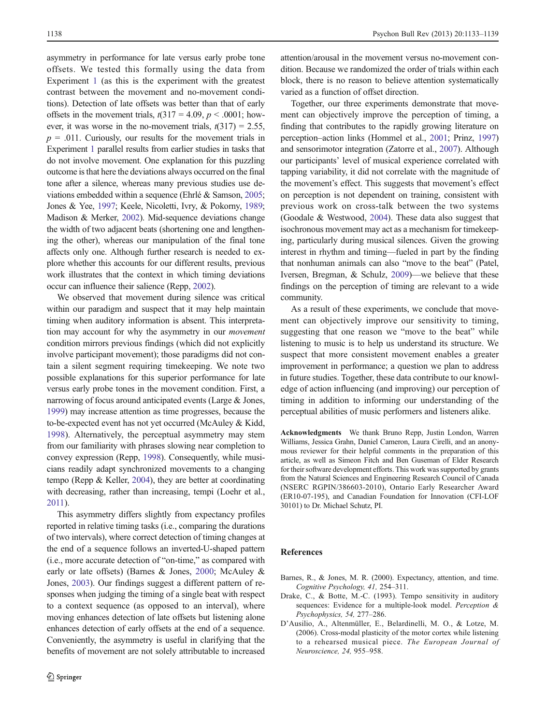<span id="page-5-0"></span>asymmetry in performance for late versus early probe tone offsets. We tested this formally using the data from Experiment [1](#page-1-0) (as this is the experiment with the greatest contrast between the movement and no-movement conditions). Detection of late offsets was better than that of early offsets in the movement trials,  $t(317 = 4.09, p < .0001$ ; however, it was worse in the no-movement trials,  $t(317) = 2.55$ ,  $p = .011$ . Curiously, our results for the movement trials in Experiment [1](#page-1-0) parallel results from earlier studies in tasks that do not involve movement. One explanation for this puzzling outcome is that here the deviations always occurred on the final tone after a silence, whereas many previous studies use deviations embedded within a sequence (Ehrlé & Samson, [2005](#page-6-0); Jones & Yee, [1997;](#page-6-0) Keele, Nicoletti, Ivry, & Pokorny, [1989](#page-6-0); Madison & Merker, [2002](#page-6-0)). Mid-sequence deviations change the width of two adjacent beats (shortening one and lengthening the other), whereas our manipulation of the final tone affects only one. Although further research is needed to explore whether this accounts for our different results, previous work illustrates that the context in which timing deviations occur can influence their salience (Repp, [2002\)](#page-6-0).

We observed that movement during silence was critical within our paradigm and suspect that it may help maintain timing when auditory information is absent. This interpretation may account for why the asymmetry in our movement condition mirrors previous findings (which did not explicitly involve participant movement); those paradigms did not contain a silent segment requiring timekeeping. We note two possible explanations for this superior performance for late versus early probe tones in the movement condition. First, a narrowing of focus around anticipated events (Large & Jones, [1999\)](#page-6-0) may increase attention as time progresses, because the to-be-expected event has not yet occurred (McAuley & Kidd, [1998\)](#page-6-0). Alternatively, the perceptual asymmetry may stem from our familiarity with phrases slowing near completion to convey expression (Repp, [1998\)](#page-6-0). Consequently, while musicians readily adapt synchronized movements to a changing tempo (Repp & Keller, [2004\)](#page-6-0), they are better at coordinating with decreasing, rather than increasing, tempi (Loehr et al., [2011](#page-6-0)).

This asymmetry differs slightly from expectancy profiles reported in relative timing tasks (i.e., comparing the durations of two intervals), where correct detection of timing changes at the end of a sequence follows an inverted-U-shaped pattern (i.e., more accurate detection of "on-time," as compared with early or late offsets) (Barnes & Jones, 2000; McAuley & Jones, [2003\)](#page-6-0). Our findings suggest a different pattern of responses when judging the timing of a single beat with respect to a context sequence (as opposed to an interval), where moving enhances detection of late offsets but listening alone enhances detection of early offsets at the end of a sequence. Conveniently, the asymmetry is useful in clarifying that the benefits of movement are not solely attributable to increased

attention/arousal in the movement versus no-movement condition. Because we randomized the order of trials within each block, there is no reason to believe attention systematically varied as a function of offset direction.

Together, our three experiments demonstrate that movement can objectively improve the perception of timing, a finding that contributes to the rapidly growing literature on perception–action links (Hommel et al., [2001](#page-6-0); Prinz, [1997](#page-6-0)) and sensorimotor integration (Zatorre et al., [2007](#page-6-0)). Although our participants' level of musical experience correlated with tapping variability, it did not correlate with the magnitude of the movement's effect. This suggests that movement's effect on perception is not dependent on training, consistent with previous work on cross-talk between the two systems (Goodale & Westwood, [2004](#page-6-0)). These data also suggest that isochronous movement may act as a mechanism for timekeeping, particularly during musical silences. Given the growing interest in rhythm and timing—fueled in part by the finding that nonhuman animals can also "move to the beat" (Patel, Iversen, Bregman, & Schulz, [2009](#page-6-0))—we believe that these findings on the perception of timing are relevant to a wide community.

As a result of these experiments, we conclude that movement can objectively improve our sensitivity to timing, suggesting that one reason we "move to the beat" while listening to music is to help us understand its structure. We suspect that more consistent movement enables a greater improvement in performance; a question we plan to address in future studies. Together, these data contribute to our knowledge of action influencing (and improving) our perception of timing in addition to informing our understanding of the perceptual abilities of music performers and listeners alike.

Acknowledgments We thank Bruno Repp, Justin London, Warren Williams, Jessica Grahn, Daniel Cameron, Laura Cirelli, and an anonymous reviewer for their helpful comments in the preparation of this article, as well as Simeon Fitch and Ben Guseman of Elder Research for their software development efforts. This work was supported by grants from the Natural Sciences and Engineering Research Council of Canada (NSERC RGPIN/386603-2010), Ontario Early Researcher Award (ER10-07-195), and Canadian Foundation for Innovation (CFI-LOF 30101) to Dr. Michael Schutz, PI.

#### References

- Barnes, R., & Jones, M. R. (2000). Expectancy, attention, and time. Cognitive Psychology, 41, 254–311.
- Drake, C., & Botte, M.-C. (1993). Tempo sensitivity in auditory sequences: Evidence for a multiple-look model. Perception & Psychophysics, 54, 277–286.
- D'Ausilio, A., Altenmüller, E., Belardinelli, M. O., & Lotze, M. (2006). Cross-modal plasticity of the motor cortex while listening to a rehearsed musical piece. The European Journal of Neuroscience, 24, 955–958.